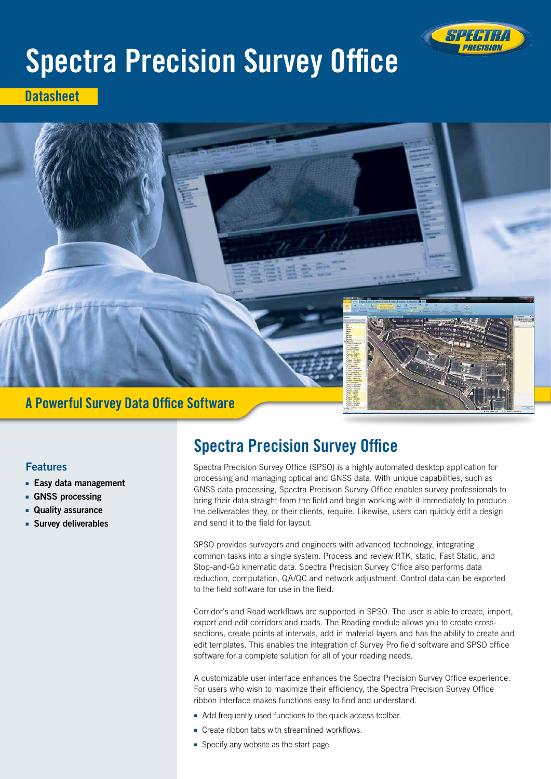

# Spectra Precision Survey Office

**Datasheet** 



# A Powerful Survey Data Office Software

# Features

- Easy data management
- GNSS processing
- Quality assurance
- Survey deliverables

# Spectra Precision Survey Office

Spectra Precision Survey Office (SPSO) is a highly automated desktop application for processing and managing optical and GNSS data. With unique capabilities, such as GNSS data processing, Spectra Precision Survey Office enables survey professionals to bring their data straight from the field and begin working with it immediately to produce the deliverables they, or their clients, require. Likewise, users can quickly edit a design and send it to the field for layout.

SPSO provides surveyors and engineers with advanced technology, integrating common tasks into a single system. Process and review RTK, static, Fast Static, and Stop-and-Go kinematic data. Spectra Precision Survey Office also performs data reduction, computation, QA/QC and network adjustment. Control data can be exported to the field software for use in the field.

Corridor's and Road workflows are supported in SPSO. The user is able to create, import, export and edit corridors and roads. The Roading module allows you to create crosssections, create points at intervals, add in material layers and has the ability to create and edit templates. This enables the integration of Survey Pro field software and SPSO office software for a complete solution for all of your roading needs.

A customizable user interface enhances the Spectra Precision Survey Office experience. For users who wish to maximize their efficiency, the Spectra Precision Survey Office ribbon interface makes functions easy to find and understand.

- Add frequently used functions to the quick access toolbar.
- Create ribbon tabs with streamlined workflows.
- Specify any website as the start page.